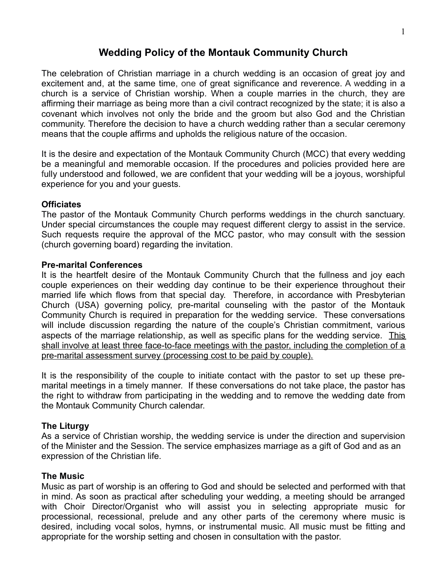# **Wedding Policy of the Montauk Community Church**

The celebration of Christian marriage in a church wedding is an occasion of great joy and excitement and, at the same time, one of great significance and reverence. A wedding in a church is a service of Christian worship. When a couple marries in the church, they are affirming their marriage as being more than a civil contract recognized by the state; it is also a covenant which involves not only the bride and the groom but also God and the Christian community. Therefore the decision to have a church wedding rather than a secular ceremony means that the couple affirms and upholds the religious nature of the occasion.

It is the desire and expectation of the Montauk Community Church (MCC) that every wedding be a meaningful and memorable occasion. If the procedures and policies provided here are fully understood and followed, we are confident that your wedding will be a joyous, worshipful experience for you and your guests.

## **Officiates**

The pastor of the Montauk Community Church performs weddings in the church sanctuary. Under special circumstances the couple may request different clergy to assist in the service. Such requests require the approval of the MCC pastor, who may consult with the session (church governing board) regarding the invitation.

#### **Pre-marital Conferences**

It is the heartfelt desire of the Montauk Community Church that the fullness and joy each couple experiences on their wedding day continue to be their experience throughout their married life which flows from that special day. Therefore, in accordance with Presbyterian Church (USA) governing policy, pre-marital counseling with the pastor of the Montauk Community Church is required in preparation for the wedding service. These conversations will include discussion regarding the nature of the couple's Christian commitment, various aspects of the marriage relationship, as well as specific plans for the wedding service. This shall involve at least three face-to-face meetings with the pastor, including the completion of a pre-marital assessment survey (processing cost to be paid by couple).

It is the responsibility of the couple to initiate contact with the pastor to set up these premarital meetings in a timely manner. If these conversations do not take place, the pastor has the right to withdraw from participating in the wedding and to remove the wedding date from the Montauk Community Church calendar.

## **The Liturgy**

As a service of Christian worship, the wedding service is under the direction and supervision of the Minister and the Session. The service emphasizes marriage as a gift of God and as an expression of the Christian life.

#### **The Music**

Music as part of worship is an offering to God and should be selected and performed with that in mind. As soon as practical after scheduling your wedding, a meeting should be arranged with Choir Director/Organist who will assist you in selecting appropriate music for processional, recessional, prelude and any other parts of the ceremony where music is desired, including vocal solos, hymns, or instrumental music. All music must be fitting and appropriate for the worship setting and chosen in consultation with the pastor.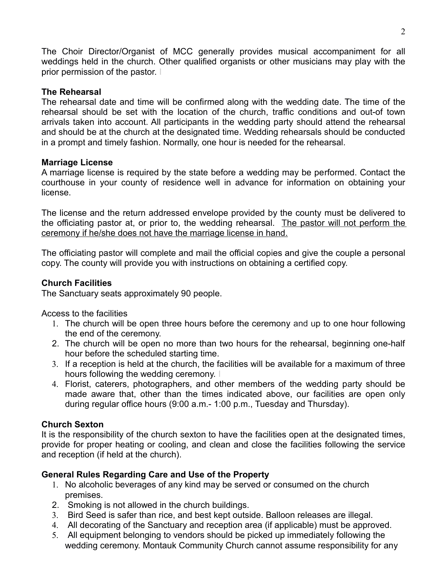The Choir Director/Organist of MCC generally provides musical accompaniment for all weddings held in the church. Other qualified organists or other musicians may play with the prior permission of the pastor. I

## **The Rehearsal**

The rehearsal date and time will be confirmed along with the wedding date. The time of the rehearsal should be set with the location of the church, traffic conditions and out-of town arrivals taken into account. All participants in the wedding party should attend the rehearsal and should be at the church at the designated time. Wedding rehearsals should be conducted in a prompt and timely fashion. Normally, one hour is needed for the rehearsal.

## **Marriage License**

A marriage license is required by the state before a wedding may be performed. Contact the courthouse in your county of residence well in advance for information on obtaining your license.

The license and the return addressed envelope provided by the county must be delivered to the officiating pastor at, or prior to, the wedding rehearsal. The pastor will not perform the ceremony if he/she does not have the marriage license in hand.

The officiating pastor will complete and mail the official copies and give the couple a personal copy. The county will provide you with instructions on obtaining a certified copy.

## **Church Facilities**

The Sanctuary seats approximately 90 people.

Access to the facilities

- 1. The church will be open three hours before the ceremony and up to one hour following the end of the ceremony.
- 2. The church will be open no more than two hours for the rehearsal, beginning one-half hour before the scheduled starting time.
- 3. If a reception is held at the church, the facilities will be available for a maximum of three hours following the wedding ceremony. I
- 4. Florist, caterers, photographers, and other members of the wedding party should be made aware that, other than the times indicated above, our facilities are open only during regular office hours (9:00 a.m.- 1:00 p.m., Tuesday and Thursday).

## **Church Sexton**

It is the responsibility of the church sexton to have the facilities open at the designated times, provide for proper heating or cooling, and clean and close the facilities following the service and reception (if held at the church).

## **General Rules Regarding Care and Use of the Property**

- 1. No alcoholic beverages of any kind may be served or consumed on the church premises.
- 2. Smoking is not allowed in the church buildings.
- 3. Bird Seed is safer than rice, and best kept outside. Balloon releases are illegal.
- 4. All decorating of the Sanctuary and reception area (if applicable) must be approved.
- 5. All equipment belonging to vendors should be picked up immediately following the wedding ceremony. Montauk Community Church cannot assume responsibility for any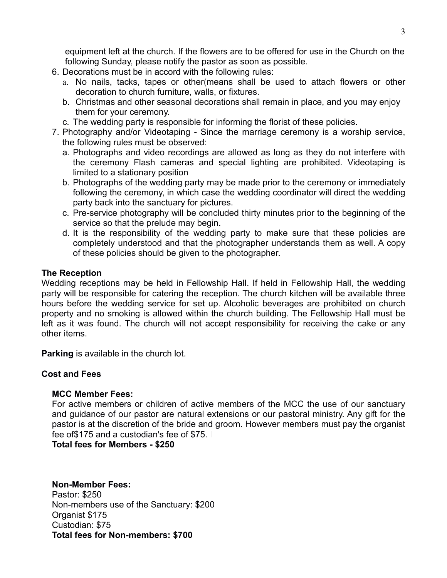equipment left at the church. If the flowers are to be offered for use in the Church on the following Sunday, please notify the pastor as soon as possible.

- 6. Decorations must be in accord with the following rules:
	- a. No nails, tacks, tapes or other(means shall be used to attach flowers or other decoration to church furniture, walls, or fixtures.
	- b. Christmas and other seasonal decorations shall remain in place, and you may enjoy them for your ceremony.
	- c. The wedding party is responsible for informing the florist of these policies.
- 7. Photography and/or Videotaping Since the marriage ceremony is a worship service, the following rules must be observed:
	- a. Photographs and video recordings are allowed as long as they do not interfere with the ceremony Flash cameras and special lighting are prohibited. Videotaping is limited to a stationary position
	- b. Photographs of the wedding party may be made prior to the ceremony or immediately following the ceremony, in which case the wedding coordinator will direct the wedding party back into the sanctuary for pictures.
	- c. Pre-service photography will be concluded thirty minutes prior to the beginning of the service so that the prelude may begin.
	- d. It is the responsibility of the wedding party to make sure that these policies are completely understood and that the photographer understands them as well. A copy of these policies should be given to the photographer.

# **The Reception**

Wedding receptions may be held in Fellowship Hall. If held in Fellowship Hall, the wedding party will be responsible for catering the reception. The church kitchen will be available three hours before the wedding service for set up. Alcoholic beverages are prohibited on church property and no smoking is allowed within the church building. The Fellowship Hall must be left as it was found. The church will not accept responsibility for receiving the cake or any other items.

**Parking** is available in the church lot.

# **Cost and Fees**

# **MCC Member Fees:**

For active members or children of active members of the MCC the use of our sanctuary and guidance of our pastor are natural extensions or our pastoral ministry. Any gift for the pastor is at the discretion of the bride and groom. However members must pay the organist fee of \$175 and a custodian's fee of \$75.

**Total fees for Members - \$250**

## **Non-Member Fees:** Pastor: \$250 Non-members use of the Sanctuary: \$200 Organist \$175 Custodian: \$75 **Total fees for Non-members: \$700**